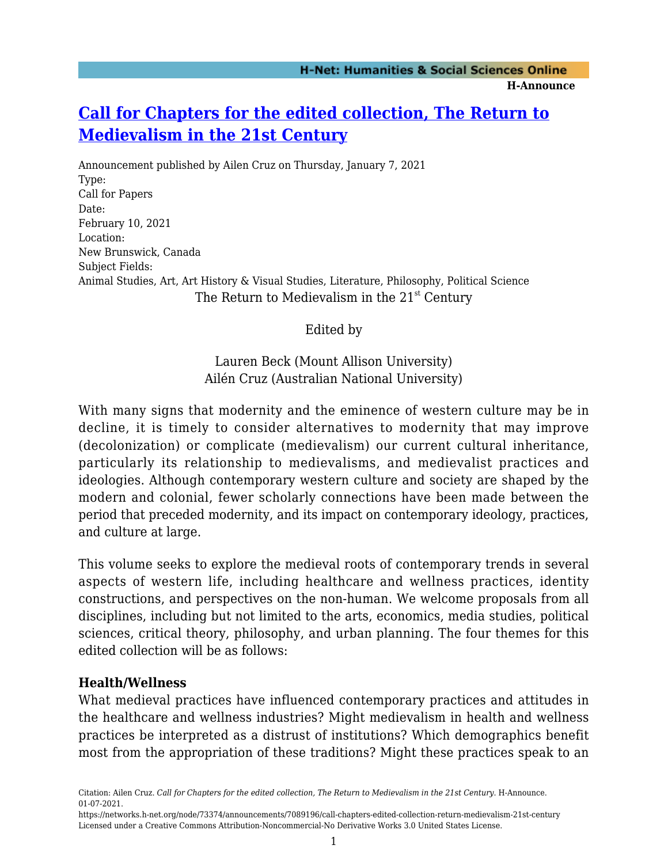# **[Call for Chapters for the edited collection, The Return to](https://networks.h-net.org/node/73374/announcements/7089196/call-chapters-edited-collection-return-medievalism-21st-century) [Medievalism in the 21st Century](https://networks.h-net.org/node/73374/announcements/7089196/call-chapters-edited-collection-return-medievalism-21st-century)**

Announcement published by Ailen Cruz on Thursday, January 7, 2021 Type: Call for Papers Date: February 10, 2021 Location: New Brunswick, Canada Subject Fields: Animal Studies, Art, Art History & Visual Studies, Literature, Philosophy, Political Science The Return to Medievalism in the  $21<sup>st</sup>$  Century

#### Edited by

Lauren Beck (Mount Allison University) Ailén Cruz (Australian National University)

With many signs that modernity and the eminence of western culture may be in decline, it is timely to consider alternatives to modernity that may improve (decolonization) or complicate (medievalism) our current cultural inheritance, particularly its relationship to medievalisms, and medievalist practices and ideologies. Although contemporary western culture and society are shaped by the modern and colonial, fewer scholarly connections have been made between the period that preceded modernity, and its impact on contemporary ideology, practices, and culture at large.

This volume seeks to explore the medieval roots of contemporary trends in several aspects of western life, including healthcare and wellness practices, identity constructions, and perspectives on the non-human. We welcome proposals from all disciplines, including but not limited to the arts, economics, media studies, political sciences, critical theory, philosophy, and urban planning. The four themes for this edited collection will be as follows:

#### **Health/Wellness**

What medieval practices have influenced contemporary practices and attitudes in the healthcare and wellness industries? Might medievalism in health and wellness practices be interpreted as a distrust of institutions? Which demographics benefit most from the appropriation of these traditions? Might these practices speak to an

Citation: Ailen Cruz. *Call for Chapters for the edited collection, The Return to Medievalism in the 21st Century*. H-Announce. 01-07-2021.

https://networks.h-net.org/node/73374/announcements/7089196/call-chapters-edited-collection-return-medievalism-21st-century Licensed under a Creative Commons Attribution-Noncommercial-No Derivative Works 3.0 United States License.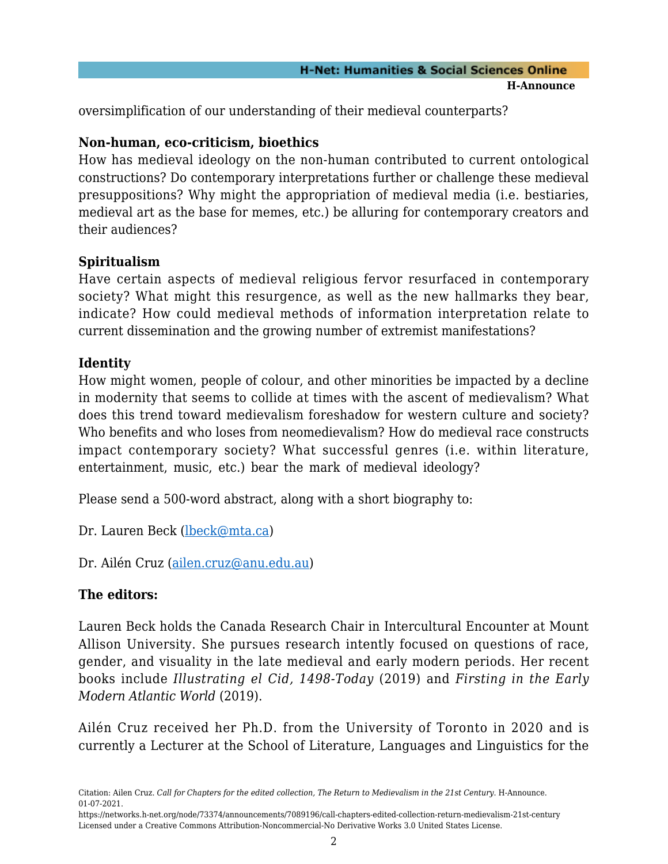oversimplification of our understanding of their medieval counterparts?

## **Non-human, eco-criticism, bioethics**

How has medieval ideology on the non-human contributed to current ontological constructions? Do contemporary interpretations further or challenge these medieval presuppositions? Why might the appropriation of medieval media (i.e. bestiaries, medieval art as the base for memes, etc.) be alluring for contemporary creators and their audiences?

### **Spiritualism**

Have certain aspects of medieval religious fervor resurfaced in contemporary society? What might this resurgence, as well as the new hallmarks they bear, indicate? How could medieval methods of information interpretation relate to current dissemination and the growing number of extremist manifestations?

### **Identity**

How might women, people of colour, and other minorities be impacted by a decline in modernity that seems to collide at times with the ascent of medievalism? What does this trend toward medievalism foreshadow for western culture and society? Who benefits and who loses from neomedievalism? How do medieval race constructs impact contemporary society? What successful genres (i.e. within literature, entertainment, music, etc.) bear the mark of medieval ideology?

Please send a 500-word abstract, along with a short biography to:

Dr. Lauren Beck ([lbeck@mta.ca\)](mailto:lbeck@mta.ca)

Dr. Ailén Cruz ([ailen.cruz@anu.edu.au\)](mailto:ailen.cruz@anu.edu.au)

### **The editors:**

Lauren Beck holds the Canada Research Chair in Intercultural Encounter at Mount Allison University. She pursues research intently focused on questions of race, gender, and visuality in the late medieval and early modern periods. Her recent books include *Illustrating el Cid, 1498-Today* (2019) and *Firsting in the Early Modern Atlantic World* (2019).

Ailén Cruz received her Ph.D. from the University of Toronto in 2020 and is currently a Lecturer at the School of Literature, Languages and Linguistics for the

Citation: Ailen Cruz. *Call for Chapters for the edited collection, The Return to Medievalism in the 21st Century*. H-Announce. 01-07-2021.

https://networks.h-net.org/node/73374/announcements/7089196/call-chapters-edited-collection-return-medievalism-21st-century Licensed under a Creative Commons Attribution-Noncommercial-No Derivative Works 3.0 United States License.